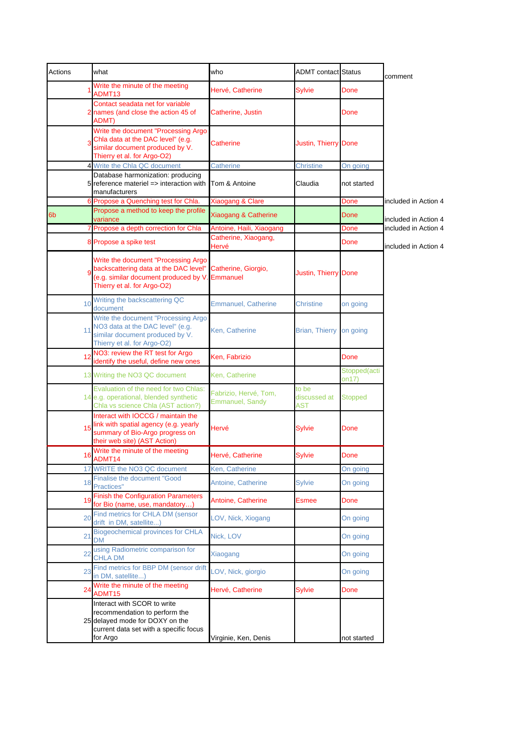| Actions | what                                                                                                                                                  | who                                             | <b>ADMT</b> contact Status          |                       | comment              |
|---------|-------------------------------------------------------------------------------------------------------------------------------------------------------|-------------------------------------------------|-------------------------------------|-----------------------|----------------------|
|         | Write the minute of the meeting<br>ADMT13                                                                                                             | Hervé, Catherine                                | <b>Sylvie</b>                       | Done                  |                      |
|         | Contact seadata net for variable<br>names (and close the action 45 of<br>ADMT)                                                                        | Catherine, Justin                               |                                     | Done                  |                      |
|         | Write the document "Processing Argo<br>Chla data at the DAC level" (e.g.<br>similar document produced by V.<br>Thierry et al. for Argo-O2)            | Catherine                                       | Justin, Thierry Done                |                       |                      |
|         | 4 Write the Chla QC document                                                                                                                          | <b>Catherine</b>                                | <b>Christine</b>                    | On going              |                      |
|         | Database harmonization: producing<br>reference materiel => interaction with<br>manufacturers                                                          | Tom & Antoine                                   | Claudia                             | not started           |                      |
|         | Propose a Quenching test for Chla.                                                                                                                    | Xiaogang & Clare                                |                                     | Done                  | included in Action 4 |
| 6b      | Propose a method to keep the profile<br>variance                                                                                                      | Xiaogang & Catherine                            |                                     | Done                  | included in Action 4 |
|         | Propose a depth correction for Chla<br>7                                                                                                              | Antoine, Haili, Xiaogang                        |                                     | Done                  | included in Action 4 |
|         | Propose a spike test<br>8                                                                                                                             | Catherine, Xiaogang,<br>Hervé                   |                                     | Done                  | included in Action 4 |
|         | Write the document "Processing Argo<br>backscattering data at the DAC level"<br>(e.g. similar document produced by V<br>Thierry et al. for Argo-O2)   | Catherine, Giorgio,<br>Emmanuel                 | Justin, Thierry Done                |                       |                      |
|         | Writing the backscattering QC<br>10<br>document                                                                                                       | <b>Emmanuel, Catherine</b>                      | Christine                           | on going              |                      |
|         | Write the document "Processing Argo<br>NO3 data at the DAC level" (e.g.<br>11<br>similar document produced by V.<br>Thierry et al. for Argo-O2)       | Ken, Catherine                                  | <b>Brian, Thierry</b>               | on going              |                      |
|         | NO3: review the RT test for Argo<br>12<br>identify the useful, define new ones                                                                        | Ken, Fabrizio                                   |                                     | Done                  |                      |
|         | 13 Writing the NO3 QC document                                                                                                                        | Ken, Catherine                                  |                                     | Stopped(acti<br>on17) |                      |
|         | Evaluation of the need for two Chlas:<br>14 e.g. operational, blended synthetic<br>Chla vs science Chla (AST action?)                                 | Fabrizio, Hervé, Tom,<br><b>Emmanuel, Sandy</b> | to be<br>discussed at<br><b>AST</b> | <b>Stopped</b>        |                      |
|         | Interact with IOCCG / maintain the<br>link with spatial agency (e.g. yearly<br>15<br>summary of Bio-Argo progress on<br>their web site) (AST Action)  | Hervé                                           | Sylvie                              | Done                  |                      |
|         | Write the minute of the meeting<br>ADMT14                                                                                                             | Hervé, Catherine                                | Sylvie                              | Done                  |                      |
|         | WRITE the NO3 QC document<br>17                                                                                                                       | Ken, Catherine                                  |                                     | On going              |                      |
|         | <b>Finalise the document "Good</b><br>18<br>Practices"                                                                                                | Antoine, Catherine                              | <b>Sylvie</b>                       | On going              |                      |
|         | <b>Finish the Configuration Parameters</b><br>19<br>for Bio (name, use, mandatory)                                                                    | Antoine, Catherine                              | <b>Esmee</b>                        | Done                  |                      |
|         | Find metrics for CHLA DM (sensor<br>20<br>drift in DM, satellite)                                                                                     | LOV, Nick, Xiogang                              |                                     | On going              |                      |
|         | <b>Biogeochemical provinces for CHLA</b><br>21<br><b>DM</b>                                                                                           | Nick, LOV                                       |                                     | On going              |                      |
|         | using Radiometric comparison for<br>22<br><b>CHLA DM</b>                                                                                              | Xiaogang                                        |                                     | On going              |                      |
|         | Find metrics for BBP DM (sensor drift<br>23<br>in DM, satellite)                                                                                      | LOV, Nick, giorgio                              |                                     | On going              |                      |
|         | Write the minute of the meeting<br>24<br>ADMT15                                                                                                       | Hervé, Catherine                                | <b>Sylvie</b>                       | Done                  |                      |
|         | Interact with SCOR to write<br>recommendation to perform the<br>25 delayed mode for DOXY on the<br>current data set with a specific focus<br>for Argo | Virginie, Ken, Denis                            |                                     | not started           |                      |